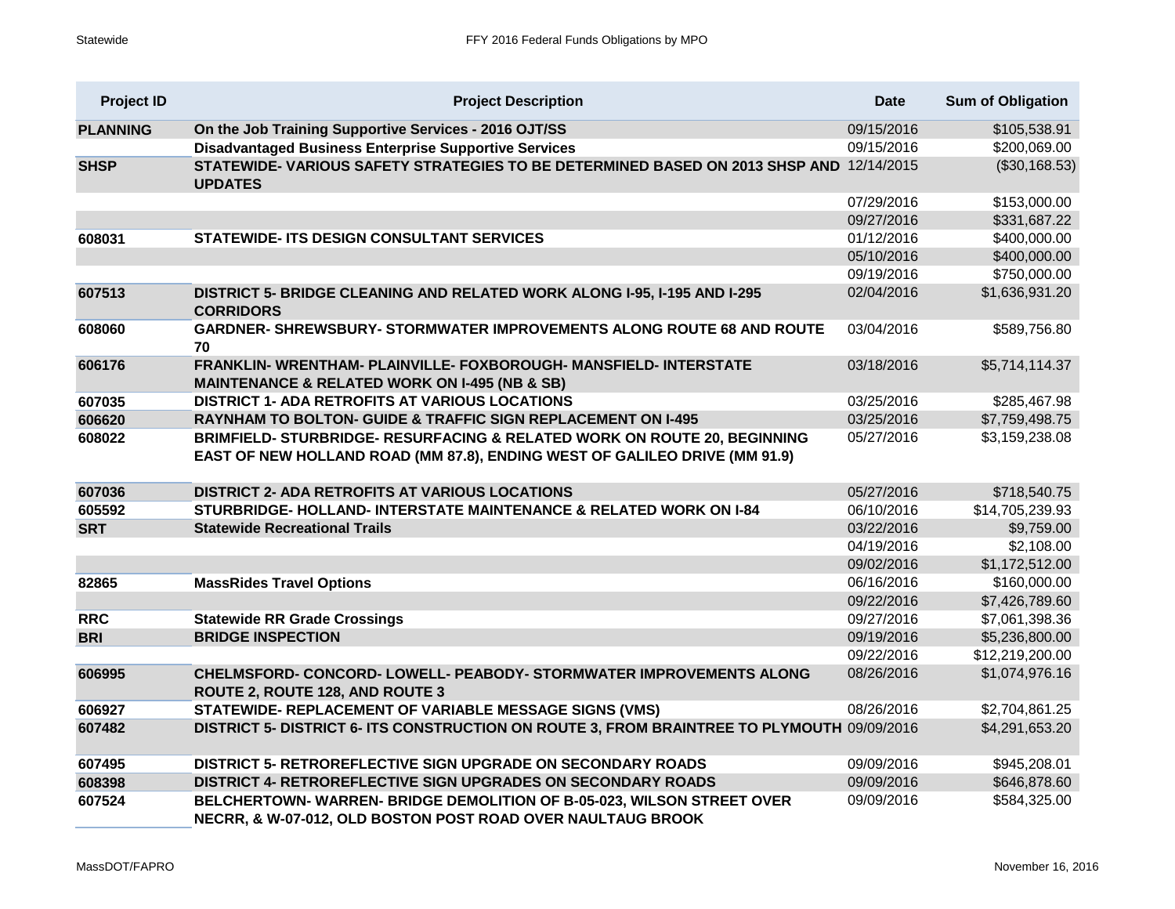| <b>Project ID</b> | <b>Project Description</b>                                                                                                                             | <b>Date</b> | <b>Sum of Obligation</b> |
|-------------------|--------------------------------------------------------------------------------------------------------------------------------------------------------|-------------|--------------------------|
| <b>PLANNING</b>   | On the Job Training Supportive Services - 2016 OJT/SS                                                                                                  | 09/15/2016  | \$105,538.91             |
|                   | <b>Disadvantaged Business Enterprise Supportive Services</b>                                                                                           | 09/15/2016  | \$200,069.00             |
| <b>SHSP</b>       | STATEWIDE-VARIOUS SAFETY STRATEGIES TO BE DETERMINED BASED ON 2013 SHSP AND 12/14/2015<br><b>UPDATES</b>                                               |             | (\$30,168.53)            |
|                   |                                                                                                                                                        | 07/29/2016  | \$153,000.00             |
|                   |                                                                                                                                                        | 09/27/2016  | \$331,687.22             |
| 608031            | <b>STATEWIDE- ITS DESIGN CONSULTANT SERVICES</b>                                                                                                       | 01/12/2016  | \$400,000.00             |
|                   |                                                                                                                                                        | 05/10/2016  | \$400,000.00             |
|                   |                                                                                                                                                        | 09/19/2016  | \$750,000.00             |
| 607513            | DISTRICT 5- BRIDGE CLEANING AND RELATED WORK ALONG I-95, I-195 AND I-295<br><b>CORRIDORS</b>                                                           | 02/04/2016  | \$1,636,931.20           |
| 608060            | <b>GARDNER- SHREWSBURY- STORMWATER IMPROVEMENTS ALONG ROUTE 68 AND ROUTE</b><br>70                                                                     | 03/04/2016  | \$589,756.80             |
| 606176            | FRANKLIN-WRENTHAM- PLAINVILLE- FOXBOROUGH- MANSFIELD- INTERSTATE<br><b>MAINTENANCE &amp; RELATED WORK ON I-495 (NB &amp; SB)</b>                       | 03/18/2016  | \$5,714,114.37           |
| 607035            | DISTRICT 1- ADA RETROFITS AT VARIOUS LOCATIONS                                                                                                         | 03/25/2016  | \$285,467.98             |
| 606620            | <b>RAYNHAM TO BOLTON- GUIDE &amp; TRAFFIC SIGN REPLACEMENT ON I-495</b>                                                                                | 03/25/2016  | \$7,759,498.75           |
| 608022            | BRIMFIELD- STURBRIDGE- RESURFACING & RELATED WORK ON ROUTE 20, BEGINNING<br>EAST OF NEW HOLLAND ROAD (MM 87.8), ENDING WEST OF GALILEO DRIVE (MM 91.9) | 05/27/2016  | \$3,159,238.08           |
| 607036            | DISTRICT 2- ADA RETROFITS AT VARIOUS LOCATIONS                                                                                                         | 05/27/2016  | \$718,540.75             |
| 605592            | STURBRIDGE- HOLLAND- INTERSTATE MAINTENANCE & RELATED WORK ON I-84                                                                                     | 06/10/2016  | \$14,705,239.93          |
| <b>SRT</b>        | <b>Statewide Recreational Trails</b>                                                                                                                   | 03/22/2016  | \$9,759.00               |
|                   |                                                                                                                                                        | 04/19/2016  | \$2,108.00               |
|                   |                                                                                                                                                        | 09/02/2016  | \$1,172,512.00           |
| 82865             | <b>MassRides Travel Options</b>                                                                                                                        | 06/16/2016  | \$160,000.00             |
|                   |                                                                                                                                                        | 09/22/2016  | \$7,426,789.60           |
| <b>RRC</b>        | <b>Statewide RR Grade Crossings</b>                                                                                                                    | 09/27/2016  | \$7,061,398.36           |
| <b>BRI</b>        | <b>BRIDGE INSPECTION</b>                                                                                                                               | 09/19/2016  | \$5,236,800.00           |
|                   |                                                                                                                                                        | 09/22/2016  | \$12,219,200.00          |
| 606995            | CHELMSFORD- CONCORD- LOWELL- PEABODY- STORMWATER IMPROVEMENTS ALONG<br>ROUTE 2, ROUTE 128, AND ROUTE 3                                                 | 08/26/2016  | \$1,074,976.16           |
| 606927            | STATEWIDE- REPLACEMENT OF VARIABLE MESSAGE SIGNS (VMS)                                                                                                 | 08/26/2016  | \$2,704,861.25           |
| 607482            | DISTRICT 5- DISTRICT 6- ITS CONSTRUCTION ON ROUTE 3, FROM BRAINTREE TO PLYMOUTH 09/09/2016                                                             |             | \$4,291,653.20           |
| 607495            | <b>DISTRICT 5- RETROREFLECTIVE SIGN UPGRADE ON SECONDARY ROADS</b>                                                                                     | 09/09/2016  | \$945,208.01             |
| 608398            | DISTRICT 4- RETROREFLECTIVE SIGN UPGRADES ON SECONDARY ROADS                                                                                           | 09/09/2016  | \$646,878.60             |
| 607524            | BELCHERTOWN- WARREN- BRIDGE DEMOLITION OF B-05-023, WILSON STREET OVER<br>NECRR, & W-07-012, OLD BOSTON POST ROAD OVER NAULTAUG BROOK                  | 09/09/2016  | \$584,325.00             |